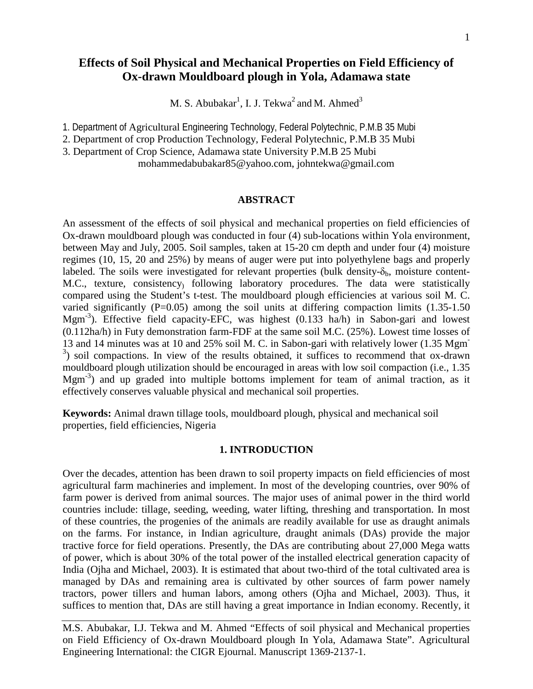## **Effects of Soil Physical and Mechanical Properties on Field Efficiency of Ox-drawn Mouldboard plough in Yola, Adamawa state**

M. S. Abubakar $^1$ , I. J. Tekwa $^2$  and M. Ahmed $^3$ 

1. Department of Agricultural Engineering Technology, Federal Polytechnic, P.M.B 35 Mubi

2. Department of crop Production Technology, Federal Polytechnic, P.M.B 35 Mubi

3. Department of Crop Science, Adamawa state University P.M.B 25 Mubi

mohammedabubakar85@yahoo.com, johntekwa@gmail.com

### **ABSTRACT**

An assessment of the effects of soil physical and mechanical properties on field efficiencies of Ox-drawn mouldboard plough was conducted in four (4) sub-locations within Yola environment, between May and July, 2005. Soil samples, taken at 15-20 cm depth and under four (4) moisture regimes (10, 15, 20 and 25%) by means of auger were put into polyethylene bags and properly labeled. The soils were investigated for relevant properties (bulk density- $\delta_b$ , moisture content-M.C., texture, consistency) following laboratory procedures. The data were statistically compared using the Student's t-test. The mouldboard plough efficiencies at various soil M. C. varied significantly  $(P=0.05)$  among the soil units at differing compaction limits  $(1.35-1.50)$ Mgm-3 ). Effective field capacity-EFC, was highest (0.133 ha/h) in Sabon-gari and lowest (0.112ha/h) in Futy demonstration farm-FDF at the same soil M.C. (25%). Lowest time losses of 13 and 14 minutes was at 10 and 25% soil M. C. in Sabon-gari with relatively lower (1.35 Mgm- $3$ ) soil compactions. In view of the results obtained, it suffices to recommend that ox-drawn mouldboard plough utilization should be encouraged in areas with low soil compaction (i.e., 1.35 Mgm<sup>-3</sup>) and up graded into multiple bottoms implement for team of animal traction, as it effectively conserves valuable physical and mechanical soil properties.

**Keywords:** Animal drawn tillage tools, mouldboard plough, physical and mechanical soil properties, field efficiencies, Nigeria

#### **1. INTRODUCTION**

Over the decades, attention has been drawn to soil property impacts on field efficiencies of most agricultural farm machineries and implement. In most of the developing countries, over 90% of farm power is derived from animal sources. The major uses of animal power in the third world countries include: tillage, seeding, weeding, water lifting, threshing and transportation. In most of these countries, the progenies of the animals are readily available for use as draught animals on the farms. For instance, in Indian agriculture, draught animals (DAs) provide the major tractive force for field operations. Presently, the DAs are contributing about 27,000 Mega watts of power, which is about 30% of the total power of the installed electrical generation capacity of India (Ojha and Michael, 2003). It is estimated that about two-third of the total cultivated area is managed by DAs and remaining area is cultivated by other sources of farm power namely tractors, power tillers and human labors, among others (Ojha and Michael, 2003). Thus, it suffices to mention that, DAs are still having a great importance in Indian economy. Recently, it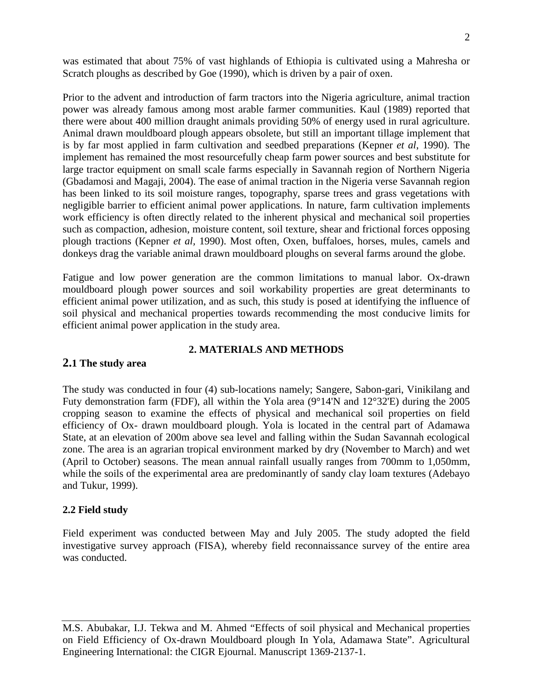was estimated that about 75% of vast highlands of Ethiopia is cultivated using a Mahresha or Scratch ploughs as described by Goe (1990), which is driven by a pair of oxen.

Prior to the advent and introduction of farm tractors into the Nigeria agriculture, animal traction power was already famous among most arable farmer communities. Kaul (1989) reported that there were about 400 million draught animals providing 50% of energy used in rural agriculture. Animal drawn mouldboard plough appears obsolete, but still an important tillage implement that is by far most applied in farm cultivation and seedbed preparations (Kepner *et al*, 1990). The implement has remained the most resourcefully cheap farm power sources and best substitute for large tractor equipment on small scale farms especially in Savannah region of Northern Nigeria (Gbadamosi and Magaji, 2004). The ease of animal traction in the Nigeria verse Savannah region has been linked to its soil moisture ranges, topography, sparse trees and grass vegetations with negligible barrier to efficient animal power applications. In nature, farm cultivation implements work efficiency is often directly related to the inherent physical and mechanical soil properties such as compaction, adhesion, moisture content, soil texture, shear and frictional forces opposing plough tractions (Kepner *et al,* 1990). Most often, Oxen, buffaloes, horses, mules, camels and donkeys drag the variable animal drawn mouldboard ploughs on several farms around the globe.

Fatigue and low power generation are the common limitations to manual labor. Ox-drawn mouldboard plough power sources and soil workability properties are great determinants to efficient animal power utilization, and as such, this study is posed at identifying the influence of soil physical and mechanical properties towards recommending the most conducive limits for efficient animal power application in the study area.

## **2. MATERIALS AND METHODS**

## **2.1 The study area**

The study was conducted in four (4) sub-locations namely; Sangere, Sabon-gari, Vinikilang and Futy demonstration farm (FDF), all within the Yola area (9°14'N and 12°32'E) during the 2005 cropping season to examine the effects of physical and mechanical soil properties on field efficiency of Ox- drawn mouldboard plough. Yola is located in the central part of Adamawa State, at an elevation of 200m above sea level and falling within the Sudan Savannah ecological zone. The area is an agrarian tropical environment marked by dry (November to March) and wet (April to October) seasons. The mean annual rainfall usually ranges from 700mm to 1,050mm, while the soils of the experimental area are predominantly of sandy clay loam textures (Adebayo and Tukur, 1999).

## **2.2 Field study**

Field experiment was conducted between May and July 2005. The study adopted the field investigative survey approach (FISA), whereby field reconnaissance survey of the entire area was conducted.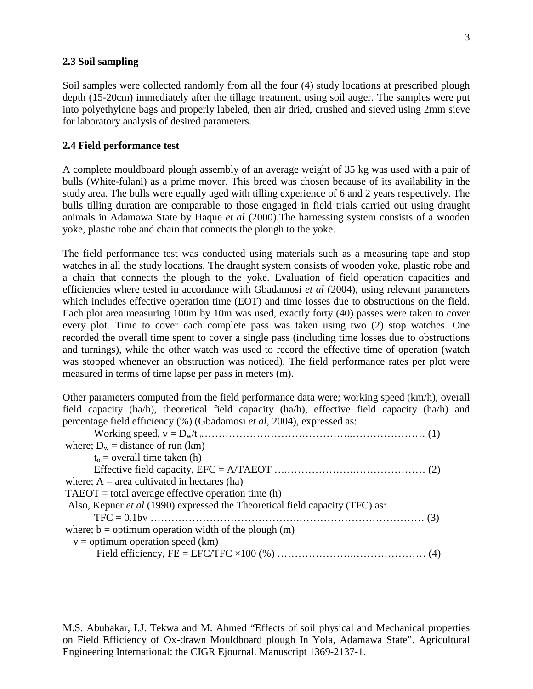## **2.3 Soil sampling**

Soil samples were collected randomly from all the four (4) study locations at prescribed plough depth (15-20cm) immediately after the tillage treatment, using soil auger. The samples were put into polyethylene bags and properly labeled, then air dried, crushed and sieved using 2mm sieve for laboratory analysis of desired parameters.

### **2.4 Field performance test**

A complete mouldboard plough assembly of an average weight of 35 kg was used with a pair of bulls (White-fulani) as a prime mover. This breed was chosen because of its availability in the study area. The bulls were equally aged with tilling experience of 6 and 2 years respectively. The bulls tilling duration are comparable to those engaged in field trials carried out using draught animals in Adamawa State by Haque *et al* (2000).The harnessing system consists of a wooden yoke, plastic robe and chain that connects the plough to the yoke.

The field performance test was conducted using materials such as a measuring tape and stop watches in all the study locations. The draught system consists of wooden yoke, plastic robe and a chain that connects the plough to the yoke. Evaluation of field operation capacities and efficiencies where tested in accordance with Gbadamosi *et al* (2004), using relevant parameters which includes effective operation time (EOT) and time losses due to obstructions on the field. Each plot area measuring 100m by 10m was used, exactly forty (40) passes were taken to cover every plot. Time to cover each complete pass was taken using two (2) stop watches. One recorded the overall time spent to cover a single pass (including time losses due to obstructions and turnings), while the other watch was used to record the effective time of operation (watch was stopped whenever an obstruction was noticed). The field performance rates per plot were measured in terms of time lapse per pass in meters (m).

Other parameters computed from the field performance data were; working speed (km/h), overall field capacity (ha/h), theoretical field capacity (ha/h), effective field capacity (ha/h) and percentage field efficiency (%) (Gbadamosi *et al,* 2004), expressed as:

| where; $D_w$ = distance of run (km)                                                 |
|-------------------------------------------------------------------------------------|
| $t_0$ = overall time taken (h)                                                      |
|                                                                                     |
| where; $A = \text{area cultivated in hectares (ha)}$                                |
| $TABOT = total average effective operation time (h)$                                |
| Also, Kepner <i>et al</i> (1990) expressed the Theoretical field capacity (TFC) as: |
|                                                                                     |
| where; $b =$ optimum operation width of the plough $(m)$                            |
| $v =$ optimum operation speed (km)                                                  |
|                                                                                     |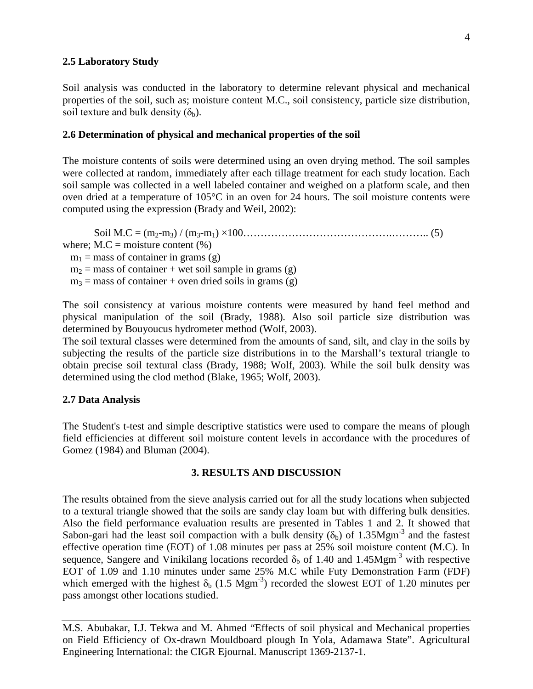## **2.5 Laboratory Study**

Soil analysis was conducted in the laboratory to determine relevant physical and mechanical properties of the soil, such as; moisture content M.C., soil consistency, particle size distribution, soil texture and bulk density  $(\delta_b)$ .

#### **2.6 Determination of physical and mechanical properties of the soil**

The moisture contents of soils were determined using an oven drying method. The soil samples were collected at random, immediately after each tillage treatment for each study location. Each soil sample was collected in a well labeled container and weighed on a platform scale, and then oven dried at a temperature of 105°C in an oven for 24 hours. The soil moisture contents were computed using the expression (Brady and Weil, 2002):

Soil M.C = (m2-m3) / (m3-m1) ×100…………………………………….……….. (5) where:  $M.C = \text{moisture content } (\%)$  $m_1$  = mass of container in grams (g)  $m_2$  = mass of container + wet soil sample in grams (g)  $m_3$  = mass of container + oven dried soils in grams (g)

The soil consistency at various moisture contents were measured by hand feel method and physical manipulation of the soil (Brady, 1988). Also soil particle size distribution was determined by Bouyoucus hydrometer method (Wolf, 2003).

The soil textural classes were determined from the amounts of sand, silt, and clay in the soils by subjecting the results of the particle size distributions in to the Marshall's textural triangle to obtain precise soil textural class (Brady, 1988; Wolf, 2003). While the soil bulk density was determined using the clod method (Blake, 1965; Wolf, 2003).

#### **2.7 Data Analysis**

The Student's t-test and simple descriptive statistics were used to compare the means of plough field efficiencies at different soil moisture content levels in accordance with the procedures of Gomez (1984) and Bluman (2004).

#### **3. RESULTS AND DISCUSSION**

The results obtained from the sieve analysis carried out for all the study locations when subjected to a textural triangle showed that the soils are sandy clay loam but with differing bulk densities. Also the field performance evaluation results are presented in Tables 1 and 2. It showed that Sabon-gari had the least soil compaction with a bulk density ( $\delta_b$ ) of 1.35Mgm<sup>-3</sup> and the fastest effective operation time (EOT) of 1.08 minutes per pass at 25% soil moisture content (M.C). In sequence, Sangere and Vinikilang locations recorded  $\delta_b$  of 1.40 and 1.45Mgm<sup>-3</sup> with respective EOT of 1.09 and 1.10 minutes under same 25% M.C while Futy Demonstration Farm (FDF) which emerged with the highest  $\delta_b$  (1.5 Mgm<sup>-3</sup>) recorded the slowest EOT of 1.20 minutes per pass amongst other locations studied.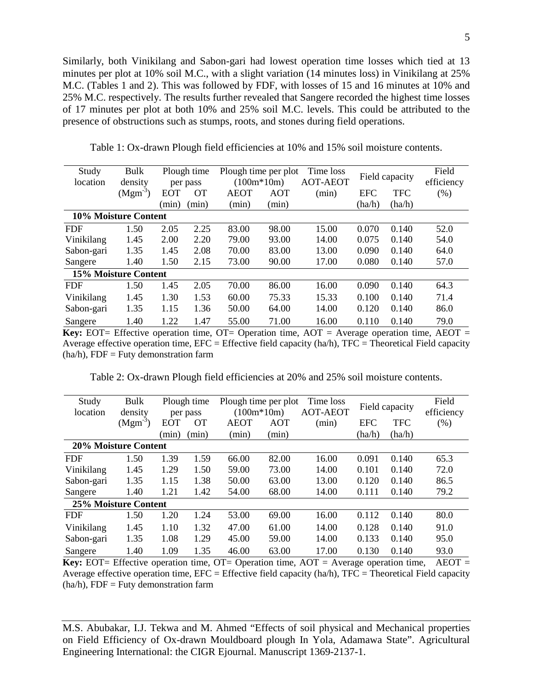Similarly, both Vinikilang and Sabon-gari had lowest operation time losses which tied at 13 minutes per plot at 10% soil M.C., with a slight variation (14 minutes loss) in Vinikilang at 25% M.C. (Tables 1 and 2). This was followed by FDF, with losses of 15 and 16 minutes at 10% and 25% M.C. respectively. The results further revealed that Sangere recorded the highest time losses of 17 minutes per plot at both 10% and 25% soil M.C. levels. This could be attributed to the presence of obstructions such as stumps, roots, and stones during field operations.

| Study                | Bulk      |            | Plough time | Plough time per plot |       | Time loss       | Field capacity |            | Field      |
|----------------------|-----------|------------|-------------|----------------------|-------|-----------------|----------------|------------|------------|
| location             | density   |            | per pass    | $(100m*10m)$         |       | <b>AOT-AEOT</b> |                |            | efficiency |
|                      | $(Mgm-3)$ | <b>EOT</b> | <b>OT</b>   | <b>AEOT</b>          | AOT   | (min)           | <b>EFC</b>     | <b>TFC</b> | (% )       |
|                      |           | (min)      | (min)       | (min)                | (min) |                 | (ha/h)         | (ha/h)     |            |
| 10% Moisture Content |           |            |             |                      |       |                 |                |            |            |
| <b>FDF</b>           | 1.50      | 2.05       | 2.25        | 83.00                | 98.00 | 15.00           | 0.070          | 0.140      | 52.0       |
| Vinikilang           | 1.45      | 2.00       | 2.20        | 79.00                | 93.00 | 14.00           | 0.075          | 0.140      | 54.0       |
| Sabon-gari           | 1.35      | 1.45       | 2.08        | 70.00                | 83.00 | 13.00           | 0.090          | 0.140      | 64.0       |
| Sangere              | 1.40      | 1.50       | 2.15        | 73.00                | 90.00 | 17.00           | 0.080          | 0.140      | 57.0       |
| 15% Moisture Content |           |            |             |                      |       |                 |                |            |            |
| <b>FDF</b>           | 1.50      | 1.45       | 2.05        | 70.00                | 86.00 | 16.00           | 0.090          | 0.140      | 64.3       |
| Vinikilang           | 1.45      | 1.30       | 1.53        | 60.00                | 75.33 | 15.33           | 0.100          | 0.140      | 71.4       |
| Sabon-gari           | 1.35      | 1.15       | 1.36        | 50.00                | 64.00 | 14.00           | 0.120          | 0.140      | 86.0       |
| Sangere              | 1.40      | 1.22       | 1.47        | 55.00                | 71.00 | 16.00           | 0.110          | 0.140      | 79.0       |

Table 1: Ox-drawn Plough field efficiencies at 10% and 15% soil moisture contents.

**Key:** EOT= Effective operation time, OT= Operation time, AOT = Average operation time, AEOT = Average effective operation time,  $EFC = Effective$  field capacity (ha/h),  $TFC = Theoretical Field capacity$  $(ha/h)$ , FDF = Futy demonstration farm

Table 2: Ox-drawn Plough field efficiencies at 20% and 25% soil moisture contents.

| Study                       | Bulk      | Plough time |           | Plough time per plot |              | Time loss       |                |            | Field      |
|-----------------------------|-----------|-------------|-----------|----------------------|--------------|-----------------|----------------|------------|------------|
| location                    | density   |             | per pass  |                      | $(100m*10m)$ | <b>AOT-AEOT</b> | Field capacity |            | efficiency |
|                             | $(Mgm-3)$ | <b>EOT</b>  | <b>OT</b> | <b>AEOT</b>          | <b>AOT</b>   | (min)           | <b>EFC</b>     | <b>TFC</b> | (% )       |
|                             |           | (min)       | (min)     | (min)                | (min)        |                 | (ha/h)         | (ha/h)     |            |
| <b>20% Moisture Content</b> |           |             |           |                      |              |                 |                |            |            |
| <b>FDF</b>                  | 1.50      | 1.39        | 1.59      | 66.00                | 82.00        | 16.00           | 0.091          | 0.140      | 65.3       |
| Vinikilang                  | 1.45      | 1.29        | 1.50      | 59.00                | 73.00        | 14.00           | 0.101          | 0.140      | 72.0       |
| Sabon-gari                  | 1.35      | 1.15        | 1.38      | 50.00                | 63.00        | 13.00           | 0.120          | 0.140      | 86.5       |
| Sangere                     | 1.40      | 1.21        | 1.42      | 54.00                | 68.00        | 14.00           | 0.111          | 0.140      | 79.2       |
| 25% Moisture Content        |           |             |           |                      |              |                 |                |            |            |
| <b>FDF</b>                  | 1.50      | 1.20        | 1.24      | 53.00                | 69.00        | 16.00           | 0.112          | 0.140      | 80.0       |
| Vinikilang                  | 1.45      | 1.10        | 1.32      | 47.00                | 61.00        | 14.00           | 0.128          | 0.140      | 91.0       |
| Sabon-gari                  | 1.35      | 1.08        | 1.29      | 45.00                | 59.00        | 14.00           | 0.133          | 0.140      | 95.0       |
| Sangere                     | 1.40      | 1.09        | 1.35      | 46.00                | 63.00        | 17.00           | 0.130          | 0.140      | 93.0       |

**Key:** EOT= Effective operation time, OT= Operation time, AOT = Average operation time, AEOT = Average effective operation time,  $EFC = Effective$  field capacity (ha/h),  $TFC = Theoretical Field capacity$  $(ha/h)$ , FDF = Futy demonstration farm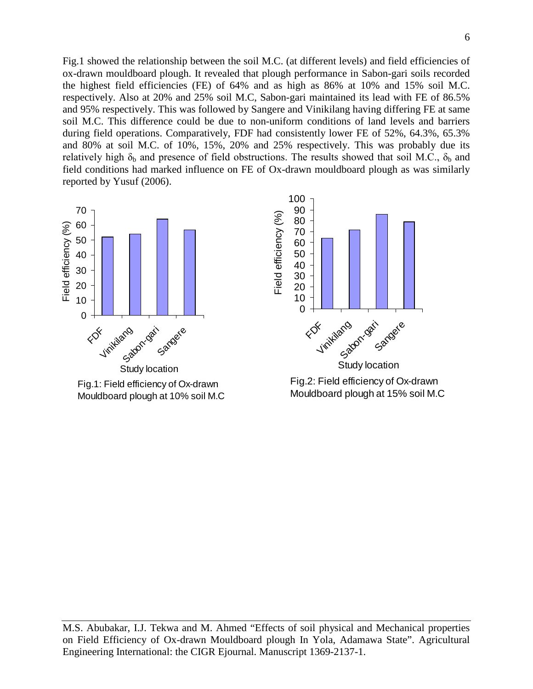Fig.1 showed the relationship between the soil M.C. (at different levels) and field efficiencies of ox-drawn mouldboard plough. It revealed that plough performance in Sabon-gari soils recorded the highest field efficiencies (FE) of 64% and as high as 86% at 10% and 15% soil M.C. respectively. Also at 20% and 25% soil M.C, Sabon-gari maintained its lead with FE of 86.5% and 95% respectively. This was followed by Sangere and Vinikilang having differing FE at same soil M.C. This difference could be due to non-uniform conditions of land levels and barriers during field operations. Comparatively, FDF had consistently lower FE of 52%, 64.3%, 65.3% and 80% at soil M.C. of 10%, 15%, 20% and 25% respectively. This was probably due its relatively high  $\delta_b$  and presence of field obstructions. The results showed that soil M.C.,  $\delta_b$  and field conditions had marked influence on FE of Ox-drawn mouldboard plough as was similarly reported by Yusuf (2006).



Fig.1: Field efficiency of Ox-drawn Mouldboard plough at 10% soil M.C



Fig.2: Field efficiency of Ox-drawn Mouldboard plough at 15% soil M.C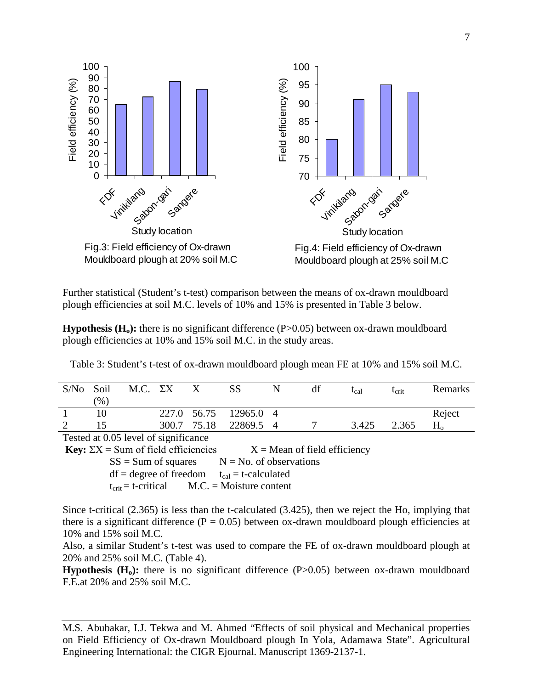

Further statistical (Student's t-test) comparison between the means of ox-drawn mouldboard plough efficiencies at soil M.C. levels of 10% and 15% is presented in Table 3 below.

**Hypothesis (H<sub>0</sub>):** there is no significant difference (P>0.05) between ox-drawn mouldboard plough efficiencies at 10% and 15% soil M.C. in the study areas.

| S/No                                 | Soil | M.C. $\Sigma X$ |  |             | SS                    | N | df | $t_{cal}$ | $\tau_{\rm crit}$ | Remarks |
|--------------------------------------|------|-----------------|--|-------------|-----------------------|---|----|-----------|-------------------|---------|
|                                      | (% ) |                 |  |             |                       |   |    |           |                   |         |
|                                      |      |                 |  |             | 227.0 56.75 12965.0 4 |   |    |           |                   | Reject  |
|                                      |      |                 |  | 300.7 75.18 | 22869.5 4             |   |    | 3.425     | 2.365             |         |
| Tested at 0.05 level of significance |      |                 |  |             |                       |   |    |           |                   |         |

Table 3: Student's t-test of ox-drawn mouldboard plough mean FE at 10% and 15% soil M.C.

Tested at 0.05 level of significance

**Key:**  $\Sigma X =$  Sum of field efficiencies  $X =$  Mean of field efficiency

 $SS = Sum of squares$   $N = No. of observations$ 

 $df = degree of freedom$   $t_{cal} = t-calculated$ 

 $t_{\text{crit}} = t-\text{critical}$  M.C. = Moisture content

Since t-critical (2.365) is less than the t-calculated (3.425), then we reject the Ho, implying that there is a significant difference ( $P = 0.05$ ) between ox-drawn mouldboard plough efficiencies at 10% and 15% soil M.C.

Also, a similar Student's t-test was used to compare the FE of ox-drawn mouldboard plough at 20% and 25% soil M.C. (Table 4).

**Hypothesis** (H<sub>o</sub>): there is no significant difference (P>0.05) between ox-drawn mouldboard F.E.at 20% and 25% soil M.C.

M.S. Abubakar, I.J. Tekwa and M. Ahmed "Effects of soil physical and Mechanical properties on Field Efficiency of Ox-drawn Mouldboard plough In Yola, Adamawa State". Agricultural Engineering International: the CIGR Ejournal. Manuscript 1369-2137-1.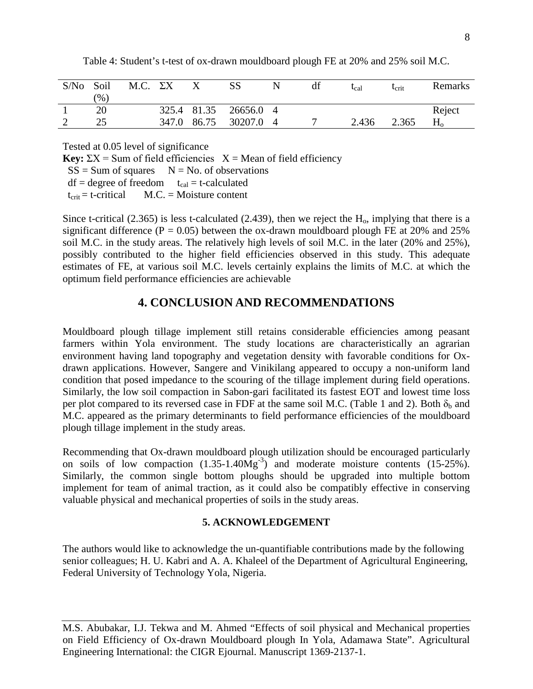| S/No | Soil          | M.C. $\Sigma X$ |       |       |                     |                             | $t_{cal}$ | $\iota_{\operatorname{crit}}$ | Remarks        |
|------|---------------|-----------------|-------|-------|---------------------|-----------------------------|-----------|-------------------------------|----------------|
|      | $\frac{9}{6}$ |                 |       |       |                     |                             |           |                               |                |
|      | 20            |                 |       |       | 325.4 81.35 26656.0 | $\overline{4}$              |           |                               | Reject         |
|      |               |                 | 347.0 | 86.75 | 30207.0             | $\boldsymbol{\vartriangle}$ | 2.436     | 2.365                         | H <sub>o</sub> |

Table 4: Student's t-test of ox-drawn mouldboard plough FE at 20% and 25% soil M.C.

Tested at 0.05 level of significance

**Key:**  $\Sigma X =$  Sum of field efficiencies  $X =$  Mean of field efficiency

 $SS = Sum$  of squares  $N = No$ . of observations

 $df = degree of freedom$   $t_{cal} = t-calculated$ 

 $t_{\text{crit}}$  = t-critical M.C. = Moisture content

Since t-critical (2.365) is less t-calculated (2.439), then we reject the  $H<sub>o</sub>$ , implying that there is a significant difference ( $P = 0.05$ ) between the ox-drawn mouldboard plough FE at 20% and 25% soil M.C. in the study areas. The relatively high levels of soil M.C. in the later (20% and 25%), possibly contributed to the higher field efficiencies observed in this study. This adequate estimates of FE, at various soil M.C. levels certainly explains the limits of M.C. at which the optimum field performance efficiencies are achievable

# **4. CONCLUSION AND RECOMMENDATIONS**

Mouldboard plough tillage implement still retains considerable efficiencies among peasant farmers within Yola environment. The study locations are characteristically an agrarian environment having land topography and vegetation density with favorable conditions for Oxdrawn applications. However, Sangere and Vinikilang appeared to occupy a non-uniform land condition that posed impedance to the scouring of the tillage implement during field operations. Similarly, the low soil compaction in Sabon-gari facilitated its fastest EOT and lowest time loss per plot compared to its reversed case in FDF at the same soil M.C. (Table 1 and 2). Both  $\delta_b$  and M.C. appeared as the primary determinants to field performance efficiencies of the mouldboard plough tillage implement in the study areas.

Recommending that Ox-drawn mouldboard plough utilization should be encouraged particularly on soils of low compaction  $(1.35{\text -}1.40\text{Mg}^3)$  and moderate moisture contents  $(15{\text -}25\%)$ . Similarly, the common single bottom ploughs should be upgraded into multiple bottom implement for team of animal traction, as it could also be compatibly effective in conserving valuable physical and mechanical properties of soils in the study areas.

## **5. ACKNOWLEDGEMENT**

The authors would like to acknowledge the un-quantifiable contributions made by the following senior colleagues; H. U. Kabri and A. A. Khaleel of the Department of Agricultural Engineering, Federal University of Technology Yola, Nigeria.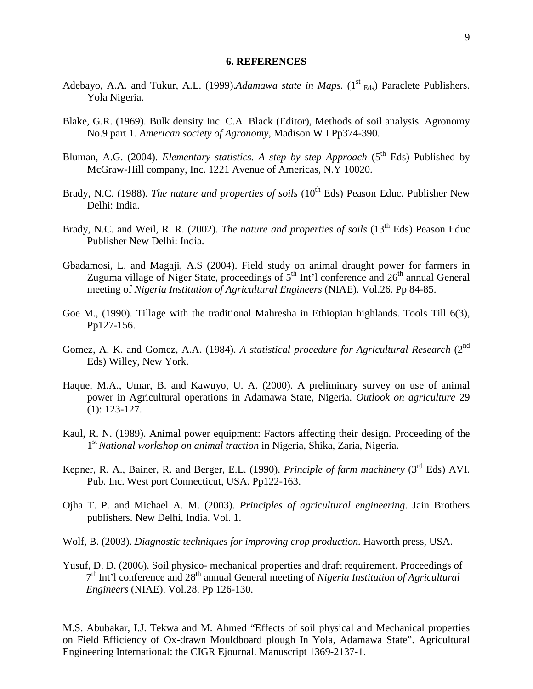#### **6. REFERENCES**

- Adebayo, A.A. and Tukur, A.L. (1999).*Adamawa state in Maps*. (1<sup>st</sup> <sub>Eds</sub>) Paraclete Publishers. Yola Nigeria.
- Blake, G.R. (1969). Bulk density Inc. C.A. Black (Editor), Methods of soil analysis. Agronomy No.9 part 1. *American society of Agronomy*, Madison W I Pp374-390.
- Bluman, A.G. (2004). *Elementary statistics. A step by step Approach* (5<sup>th</sup> Eds) Published by McGraw-Hill company, Inc. 1221 Avenue of Americas, N.Y 10020.
- Brady, N.C. (1988). *The nature and properties of soils* (10<sup>th</sup> Eds) Peason Educ. Publisher New Delhi: India.
- Brady, N.C. and Weil, R. R. (2002). *The nature and properties of soils* (13<sup>th</sup> Eds) Peason Educ Publisher New Delhi: India.
- Gbadamosi, L. and Magaji, A.S (2004). Field study on animal draught power for farmers in Zuguma village of Niger State, proceedings of  $5<sup>th</sup>$  Int'l conference and  $26<sup>th</sup>$  annual General meeting of *Nigeria Institution of Agricultural Engineers* (NIAE). Vol.26. Pp 84-85.
- Goe M., (1990). Tillage with the traditional Mahresha in Ethiopian highlands. Tools Till 6(3), Pp127-156.
- Gomez, A. K. and Gomez, A.A. (1984). *A statistical procedure for Agricultural Research* (2<sup>nd</sup>) Eds) Willey, New York.
- Haque, M.A., Umar, B. and Kawuyo, U. A. (2000). A preliminary survey on use of animal power in Agricultural operations in Adamawa State, Nigeria. *Outlook on agriculture* 29 (1): 123-127.
- Kaul, R. N. (1989). Animal power equipment: Factors affecting their design. Proceeding of the 1st *National workshop on animal traction* in Nigeria, Shika, Zaria, Nigeria.
- Kepner, R. A., Bainer, R. and Berger, E.L. (1990). *Principle of farm machinery* (3<sup>rd</sup> Eds) AVI. Pub. Inc. West port Connecticut, USA. Pp122-163.
- Ojha T. P. and Michael A. M. (2003). *Principles of agricultural engineering*. Jain Brothers publishers. New Delhi, India. Vol. 1.
- Wolf, B. (2003). *Diagnostic techniques for improving crop production.* Haworth press, USA.
- Yusuf, D. D. (2006). Soil physico- mechanical properties and draft requirement. Proceedings of 7th Int'l conference and 28th annual General meeting of *Nigeria Institution of Agricultural Engineers* (NIAE). Vol.28. Pp 126-130.